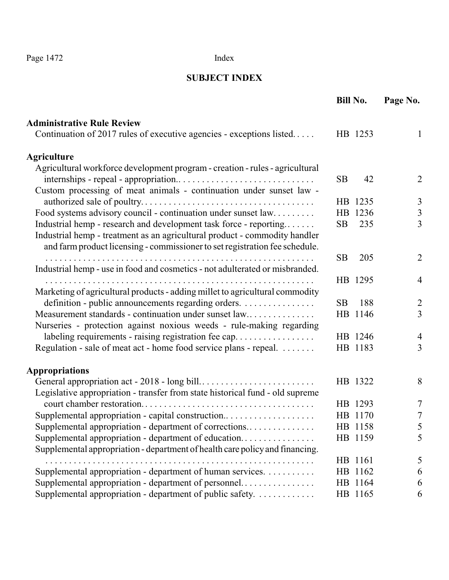## **SUBJECT INDEX**

|                                                                                                                                                                                                                                |           | <b>Bill No.</b> | Page No.       |
|--------------------------------------------------------------------------------------------------------------------------------------------------------------------------------------------------------------------------------|-----------|-----------------|----------------|
| <b>Administrative Rule Review</b>                                                                                                                                                                                              |           |                 |                |
| Continuation of 2017 rules of executive agencies - exceptions listed                                                                                                                                                           |           | HB 1253         | $\mathbf{1}$   |
| <b>Agriculture</b>                                                                                                                                                                                                             |           |                 |                |
| Agricultural workforce development program - creation - rules - agricultural                                                                                                                                                   |           |                 |                |
| Custom processing of meat animals - continuation under sunset law -                                                                                                                                                            | SB        | 42              | $\overline{2}$ |
|                                                                                                                                                                                                                                |           | HB 1235         | $\overline{3}$ |
| Food systems advisory council - continuation under sunset law                                                                                                                                                                  |           | HB 1236         | $\mathfrak{Z}$ |
| Industrial hemp - research and development task force - reporting<br>Industrial hemp - treatment as an agricultural product - commodity handler<br>and farm product licensing - commissioner to set registration fee schedule. | <b>SB</b> | 235             | 3              |
| Industrial hemp - use in food and cosmetics - not adulterated or misbranded.                                                                                                                                                   | SB        | 205             | $\overline{2}$ |
| Marketing of agricultural products - adding millet to agricultural commodity                                                                                                                                                   |           | HB 1295         | $\overline{4}$ |
| definition - public announcements regarding orders.                                                                                                                                                                            | <b>SB</b> | 188             | $\overline{2}$ |
| Measurement standards - continuation under sunset law<br>Nurseries - protection against noxious weeds - rule-making regarding                                                                                                  |           | HB 1146         | $\overline{3}$ |
| labeling requirements - raising registration fee cap                                                                                                                                                                           |           | HB 1246         | $\overline{4}$ |
| Regulation - sale of meat act - home food service plans - repeal.                                                                                                                                                              |           | HB 1183         | 3              |
| <b>Appropriations</b>                                                                                                                                                                                                          |           |                 |                |
| Legislative appropriation - transfer from state historical fund - old supreme                                                                                                                                                  |           | HB 1322         | 8              |
|                                                                                                                                                                                                                                |           | HB 1293         | 7              |
| Supplemental appropriation - capital construction                                                                                                                                                                              |           | HB 1170         | 7              |
| Supplemental appropriation - department of corrections                                                                                                                                                                         |           | HB 1158         | 5              |
| Supplemental appropriation - department of education<br>Supplemental appropriation - department of health care policy and financing.                                                                                           |           | HB 1159         | 5              |
|                                                                                                                                                                                                                                |           | HB 1161         | 5              |
| Supplemental appropriation - department of human services.                                                                                                                                                                     |           | HB 1162         | 6              |
| Supplemental appropriation - department of personnel                                                                                                                                                                           |           | HB 1164         | 6              |
| Supplemental appropriation - department of public safety.                                                                                                                                                                      |           | HB 1165         | 6              |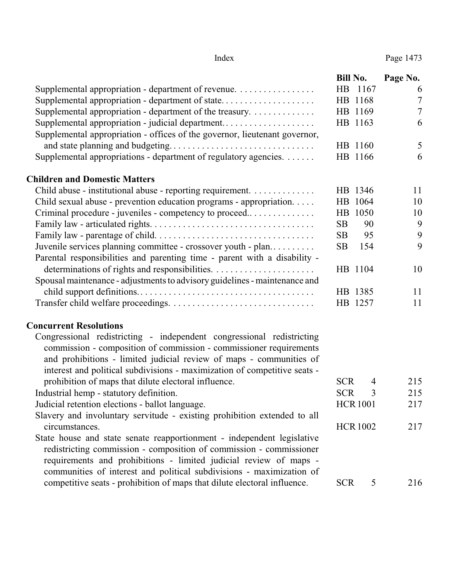|                                                                            | <b>Bill No.</b> | Page No.       |
|----------------------------------------------------------------------------|-----------------|----------------|
| Supplemental appropriation - department of revenue.                        | HB 1167         | 6              |
| Supplemental appropriation - department of state                           | HB 1168         | $\overline{7}$ |
| Supplemental appropriation - department of the treasury.                   | HB 1169         | $\overline{7}$ |
| Supplemental appropriation - judicial department                           | HB 1163         | 6              |
| Supplemental appropriation - offices of the governor, lieutenant governor, |                 |                |
|                                                                            | HB 1160         | 5              |
| Supplemental appropriations - department of regulatory agencies.           | HB 1166         | 6              |
| <b>Children and Domestic Matters</b>                                       |                 |                |
| Child abuse - institutional abuse - reporting requirement.                 | HB 1346         | 11             |
| Child sexual abuse - prevention education programs - appropriation.        | HB 1064         | 10             |
| Criminal procedure - juveniles - competency to proceed                     | HB 1050         | 10             |
|                                                                            | SB<br>90        | 9              |
|                                                                            | <b>SB</b><br>95 | 9              |
| Juvenile services planning committee - crossover youth - plan              | SB<br>154       | 9              |
| Parental responsibilities and parenting time - parent with a disability -  |                 |                |
|                                                                            | HB 1104         | 10             |
| Spousal maintenance - adjustments to advisory guidelines - maintenance and |                 |                |
|                                                                            | HB 1385         | 11             |
|                                                                            | HB 1257         | 11             |
| <b>Concurrent Resolutions</b>                                              |                 |                |
| Congressional redistricting - independent congressional redistricting      |                 |                |
| commission - composition of commission - commissioner requirements         |                 |                |
| and prohibitions - limited judicial review of maps - communities of        |                 |                |
| interest and political subdivisions - maximization of competitive seats -  |                 |                |
| prohibition of maps that dilute electoral influence.                       | <b>SCR</b><br>4 | 215            |
| Industrial hemp - statutory definition.                                    | <b>SCR</b><br>3 | 215            |
| Judicial retention elections - ballot language.                            | <b>HCR1001</b>  | 217            |
| Slavery and involuntary servitude - existing prohibition extended to all   |                 |                |
| circumstances.                                                             | <b>HCR 1002</b> | 217            |
| State house and state senate reapportionment - independent legislative     |                 |                |
| redistricting commission - composition of commission - commissioner        |                 |                |
| requirements and prohibitions - limited judicial review of maps -          |                 |                |
| communities of interest and political subdivisions - maximization of       |                 |                |
| competitive seats - prohibition of maps that dilute electoral influence.   | <b>SCR</b><br>5 | 216            |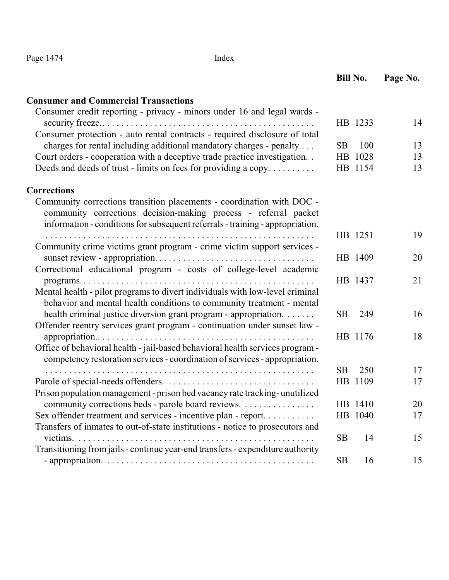| Page 1474 | Index |
|-----------|-------|
|-----------|-------|

|                                                                                                                                                                                                                           | <b>Bill No.</b> |         | Page No. |
|---------------------------------------------------------------------------------------------------------------------------------------------------------------------------------------------------------------------------|-----------------|---------|----------|
| <b>Consumer and Commercial Transactions</b>                                                                                                                                                                               |                 |         |          |
| Consumer credit reporting - privacy - minors under 16 and legal wards -                                                                                                                                                   |                 |         | 14       |
| Consumer protection - auto rental contracts - required disclosure of total                                                                                                                                                | HB 1233         |         |          |
| charges for rental including additional mandatory charges - penalty                                                                                                                                                       | SB.             | 100     | 13       |
| Court orders - cooperation with a deceptive trade practice investigation                                                                                                                                                  | HB              | 1028    | 13       |
| Deeds and deeds of trust - limits on fees for providing a copy.                                                                                                                                                           |                 | HB 1154 | 13       |
| <b>Corrections</b>                                                                                                                                                                                                        |                 |         |          |
| Community corrections transition placements - coordination with DOC -<br>community corrections decision-making process - referral packet<br>information - conditions for subsequent referrals - training - appropriation. |                 |         |          |
| Community crime victims grant program - crime victim support services -                                                                                                                                                   | HB 1251         |         | 19       |
| Correctional educational program - costs of college-level academic                                                                                                                                                        |                 | HB 1409 | 20       |
| Mental health - pilot programs to divert individuals with low-level criminal<br>behavior and mental health conditions to community treatment - mental                                                                     |                 | HB 1437 | 21       |
| health criminal justice diversion grant program - appropriation.<br>Offender reentry services grant program - continuation under sunset law -                                                                             | <b>SB</b>       | 249     | 16       |
| Office of behavioral health - jail-based behavioral health services program -<br>competency restoration services - coordination of services - appropriation.                                                              |                 | HB 1176 | 18       |
|                                                                                                                                                                                                                           | SB.             | 250     | 17       |
| Prison population management - prison bed vacancy rate tracking-unutilized                                                                                                                                                | $\overline{AB}$ | 1109    | 17       |
| community corrections beds - parole board reviews.                                                                                                                                                                        |                 | HB 1410 | 20       |
| Sex offender treatment and services - incentive plan - report<br>Transfers of inmates to out-of-state institutions - notice to prosecutors and                                                                            |                 | HB 1040 | 17       |
| Transitioning from jails - continue year-end transfers - expenditure authority                                                                                                                                            | SB.             | 14      | 15       |
|                                                                                                                                                                                                                           | SB              | 16      | 15       |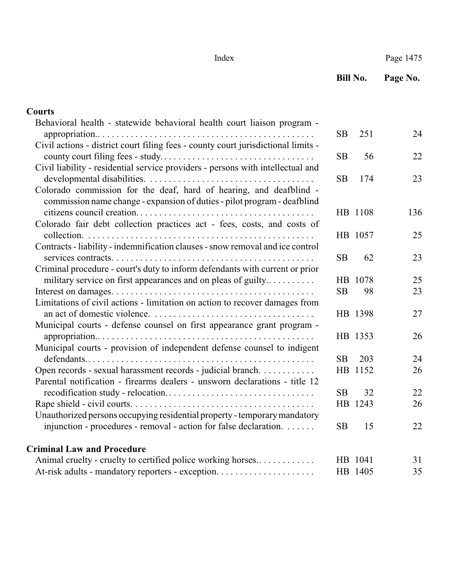**Bill No. Page No.** 

| <b>SB</b>                                                                                                                                                                                                                                                                                                                                                                                                                                                                                                                                                     |                                           | 24                                                                                                                              |
|---------------------------------------------------------------------------------------------------------------------------------------------------------------------------------------------------------------------------------------------------------------------------------------------------------------------------------------------------------------------------------------------------------------------------------------------------------------------------------------------------------------------------------------------------------------|-------------------------------------------|---------------------------------------------------------------------------------------------------------------------------------|
|                                                                                                                                                                                                                                                                                                                                                                                                                                                                                                                                                               |                                           |                                                                                                                                 |
|                                                                                                                                                                                                                                                                                                                                                                                                                                                                                                                                                               |                                           | 22                                                                                                                              |
|                                                                                                                                                                                                                                                                                                                                                                                                                                                                                                                                                               |                                           |                                                                                                                                 |
|                                                                                                                                                                                                                                                                                                                                                                                                                                                                                                                                                               |                                           | 23                                                                                                                              |
|                                                                                                                                                                                                                                                                                                                                                                                                                                                                                                                                                               |                                           |                                                                                                                                 |
|                                                                                                                                                                                                                                                                                                                                                                                                                                                                                                                                                               |                                           |                                                                                                                                 |
|                                                                                                                                                                                                                                                                                                                                                                                                                                                                                                                                                               |                                           | 136                                                                                                                             |
|                                                                                                                                                                                                                                                                                                                                                                                                                                                                                                                                                               |                                           | 25                                                                                                                              |
|                                                                                                                                                                                                                                                                                                                                                                                                                                                                                                                                                               |                                           |                                                                                                                                 |
|                                                                                                                                                                                                                                                                                                                                                                                                                                                                                                                                                               |                                           | 23                                                                                                                              |
|                                                                                                                                                                                                                                                                                                                                                                                                                                                                                                                                                               |                                           |                                                                                                                                 |
|                                                                                                                                                                                                                                                                                                                                                                                                                                                                                                                                                               |                                           | 25                                                                                                                              |
|                                                                                                                                                                                                                                                                                                                                                                                                                                                                                                                                                               |                                           | 23                                                                                                                              |
|                                                                                                                                                                                                                                                                                                                                                                                                                                                                                                                                                               |                                           |                                                                                                                                 |
|                                                                                                                                                                                                                                                                                                                                                                                                                                                                                                                                                               |                                           | 27                                                                                                                              |
|                                                                                                                                                                                                                                                                                                                                                                                                                                                                                                                                                               |                                           |                                                                                                                                 |
|                                                                                                                                                                                                                                                                                                                                                                                                                                                                                                                                                               |                                           | 26                                                                                                                              |
|                                                                                                                                                                                                                                                                                                                                                                                                                                                                                                                                                               |                                           |                                                                                                                                 |
| <b>SB</b>                                                                                                                                                                                                                                                                                                                                                                                                                                                                                                                                                     | 203                                       | 24                                                                                                                              |
|                                                                                                                                                                                                                                                                                                                                                                                                                                                                                                                                                               |                                           | 26                                                                                                                              |
|                                                                                                                                                                                                                                                                                                                                                                                                                                                                                                                                                               |                                           |                                                                                                                                 |
| <b>SB</b>                                                                                                                                                                                                                                                                                                                                                                                                                                                                                                                                                     | 32                                        | 22                                                                                                                              |
|                                                                                                                                                                                                                                                                                                                                                                                                                                                                                                                                                               |                                           | 26                                                                                                                              |
|                                                                                                                                                                                                                                                                                                                                                                                                                                                                                                                                                               |                                           |                                                                                                                                 |
| <b>SB</b>                                                                                                                                                                                                                                                                                                                                                                                                                                                                                                                                                     | 15                                        | 22                                                                                                                              |
|                                                                                                                                                                                                                                                                                                                                                                                                                                                                                                                                                               |                                           |                                                                                                                                 |
|                                                                                                                                                                                                                                                                                                                                                                                                                                                                                                                                                               |                                           | 31                                                                                                                              |
|                                                                                                                                                                                                                                                                                                                                                                                                                                                                                                                                                               |                                           | 35                                                                                                                              |
| Civil liability - residential service providers - persons with intellectual and<br>commission name change - expansion of duties - pilot program - deafblind<br>Colorado fair debt collection practices act - fees, costs, and costs of<br>Criminal procedure - court's duty to inform defendants with current or prior<br>Limitations of civil actions - limitation on action to recover damages from<br>Municipal courts - provision of independent defense counsel to indigent<br>Unauthorized persons occupying residential property - temporary mandatory | <b>SB</b><br><b>SB</b><br><b>SB</b><br>SB | 251<br>56<br>174<br>HB 1108<br>HB 1057<br>62<br>HB 1078<br>98<br>HB 1398<br>HB 1353<br>HB 1152<br>HB 1243<br>HB 1041<br>HB 1405 |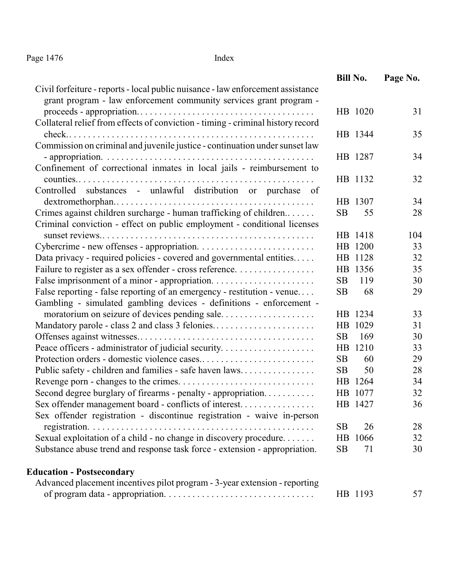Page 1476 Index

|                                                                                 |           | <b>Bill No.</b> | Page No. |
|---------------------------------------------------------------------------------|-----------|-----------------|----------|
| Civil forfeiture - reports - local public nuisance - law enforcement assistance |           |                 |          |
| grant program - law enforcement community services grant program -              |           |                 |          |
|                                                                                 |           | HB 1020         | 31       |
| Collateral relief from effects of conviction - timing - criminal history record |           |                 |          |
|                                                                                 |           | HB 1344         | 35       |
| Commission on criminal and juvenile justice - continuation under sunset law     |           |                 |          |
|                                                                                 |           | HB 1287         | 34       |
| Confinement of correctional inmates in local jails - reimbursement to           |           |                 |          |
|                                                                                 |           | HB 1132         | 32       |
| Controlled substances - unlawful distribution or purchase of                    |           |                 |          |
|                                                                                 |           | HB 1307         | 34       |
| Crimes against children surcharge - human trafficking of children               | <b>SB</b> | 55              | 28       |
| Criminal conviction - effect on public employment - conditional licenses        |           |                 |          |
|                                                                                 |           | HB 1418         | 104      |
|                                                                                 |           | HB 1200         | 33       |
| Data privacy - required policies - covered and governmental entities            |           | HB 1128         | 32       |
| Failure to register as a sex offender - cross reference.                        |           | HB 1356         | 35       |
|                                                                                 | <b>SB</b> | 119             | 30       |
| False reporting - false reporting of an emergency - restitution - venue         | SB        | 68              | 29       |
| Gambling - simulated gambling devices - definitions - enforcement -             |           |                 |          |
| moratorium on seizure of devices pending sale                                   |           | HB 1234         | 33       |
|                                                                                 | HB        | 1029            | 31       |
|                                                                                 | <b>SB</b> | 169             | 30       |
| Peace officers - administrator of judicial security                             | HB        | 1210            | 33       |
|                                                                                 | <b>SB</b> | 60              | 29       |
| Public safety - children and families - safe haven laws                         | SB        | 50              | 28       |
|                                                                                 |           | HB 1264         | 34       |
| Second degree burglary of firearms - penalty - appropriation.                   |           | HB 1077         | 32       |
| Sex offender management board - conflicts of interest.                          |           | HB 1427         | 36       |
| Sex offender registration - discontinue registration - waive in-person          |           |                 |          |
|                                                                                 | SB        | 26              | 28       |
| Sexual exploitation of a child - no change in discovery procedure               | HB        | 1066            | 32       |
| Substance abuse trend and response task force - extension - appropriation.      | SB        | 71              | 30       |
| <b>Education - Postsecondary</b>                                                |           |                 |          |
| Advanced placement incentives pilot program - 3-year extension - reporting      |           |                 |          |
|                                                                                 |           | HB 1193         | 57       |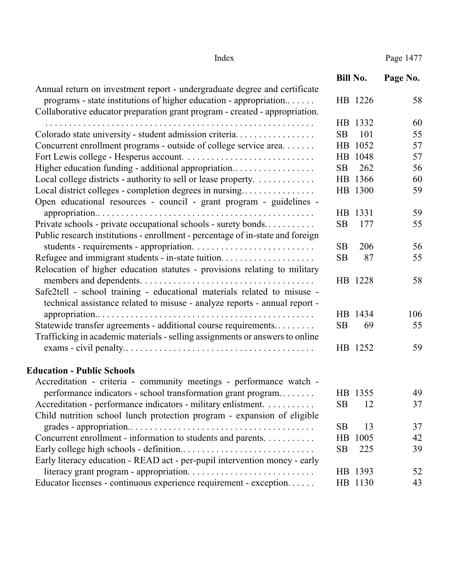|                                                                                | Bill No.         | Page No. |
|--------------------------------------------------------------------------------|------------------|----------|
| Annual return on investment report - undergraduate degree and certificate      |                  |          |
| programs - state institutions of higher education - appropriation              | HB 1226          | 58       |
| Collaborative educator preparation grant program - created - appropriation.    |                  |          |
|                                                                                | HB 1332          | 60       |
| Colorado state university - student admission criteria                         | <b>SB</b><br>101 | 55       |
| Concurrent enrollment programs - outside of college service area.              | HB 1052          | 57       |
|                                                                                | HB 1048          | 57       |
| Higher education funding - additional appropriation                            | SB<br>262        | 56       |
| Local college districts - authority to sell or lease property.                 | HB 1366          | 60       |
| Local district colleges - completion degrees in nursing                        | HB 1300          | 59       |
| Open educational resources - council - grant program - guidelines -            |                  |          |
|                                                                                | HB 1331          | 59       |
| Private schools - private occupational schools - surety bonds                  | <b>SB</b><br>177 | 55       |
| Public research institutions - enrollment - percentage of in-state and foreign |                  |          |
|                                                                                | <b>SB</b><br>206 | 56       |
| Refugee and immigrant students - in-state tuition                              | <b>SB</b><br>87  | 55       |
| Relocation of higher education statutes - provisions relating to military      |                  |          |
|                                                                                | HB 1228          | 58       |
| Safe2tell - school training - educational materials related to misuse -        |                  |          |
| technical assistance related to misuse - analyze reports - annual report -     |                  |          |
|                                                                                | HB 1434          | 106      |
| Statewide transfer agreements - additional course requirements                 | <b>SB</b><br>69  | 55       |
| Trafficking in academic materials - selling assignments or answers to online   |                  |          |
|                                                                                | HB 1252          | 59       |
|                                                                                |                  |          |
| <b>Education - Public Schools</b>                                              |                  |          |
| Accreditation - criteria - community meetings - performance watch -            |                  |          |
| performance indicators - school transformation grant program                   | HB 1355          | 49       |
| Accreditation - performance indicators - military enlistment.                  | SB<br>12         | 37       |
| Child nutrition school lunch protection program - expansion of eligible        |                  |          |
|                                                                                | <b>SB</b><br>13  | 37       |
| Concurrent enrollment - information to students and parents.                   | HB<br>1005       | 42       |
|                                                                                | <b>SB</b><br>225 | 39       |
| Early literacy education - READ act - per-pupil intervention money - early     |                  |          |
|                                                                                | HB 1393          | 52       |
| Educator licenses - continuous experience requirement - exception              | HB 1130          | 43       |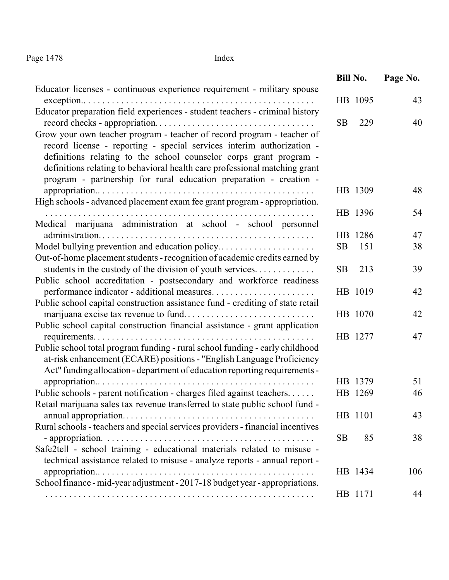Page 1478 Index

|                                                                                                                                                       | <b>Bill No.</b> |         | Page No. |
|-------------------------------------------------------------------------------------------------------------------------------------------------------|-----------------|---------|----------|
| Educator licenses - continuous experience requirement - military spouse                                                                               |                 |         | 43       |
| Educator preparation field experiences - student teachers - criminal history                                                                          |                 | HB 1095 |          |
|                                                                                                                                                       | <b>SB</b>       | 229     | 40       |
| Grow your own teacher program - teacher of record program - teacher of                                                                                |                 |         |          |
| record license - reporting - special services interim authorization -<br>definitions relating to the school counselor corps grant program -           |                 |         |          |
| definitions relating to behavioral health care professional matching grant                                                                            |                 |         |          |
| program - partnership for rural education preparation - creation -                                                                                    |                 |         |          |
|                                                                                                                                                       |                 | HB 1309 | 48       |
| High schools - advanced placement exam fee grant program - appropriation.                                                                             |                 | HB 1396 | 54       |
| Medical marijuana administration at school - school personnel                                                                                         |                 |         |          |
| administration                                                                                                                                        |                 | HB 1286 | 47       |
| Model bullying prevention and education policy                                                                                                        | <b>SB</b>       | 151     | 38       |
| Out-of-home placement students - recognition of academic credits earned by<br>students in the custody of the division of youth services               | <b>SB</b>       | 213     | 39       |
| Public school accreditation - postsecondary and workforce readiness                                                                                   |                 |         |          |
|                                                                                                                                                       |                 | HB 1019 | 42       |
| Public school capital construction assistance fund - crediting of state retail                                                                        |                 |         |          |
|                                                                                                                                                       |                 | HB 1070 | 42       |
| Public school capital construction financial assistance - grant application                                                                           |                 | HB 1277 | 47       |
| Public school total program funding - rural school funding - early childhood                                                                          |                 |         |          |
| at-risk enhancement (ECARE) positions - "English Language Proficiency                                                                                 |                 |         |          |
| Act" funding allocation - department of education reporting requirements -                                                                            |                 |         |          |
|                                                                                                                                                       |                 | HB 1379 | 51<br>46 |
| Public schools - parent notification - charges filed against teachers<br>Retail marijuana sales tax revenue transferred to state public school fund - |                 | HB 1269 |          |
| annual appropriation<br>.                                                                                                                             |                 | HB 1101 | 43       |
| Rural schools - teachers and special services providers - financial incentives                                                                        |                 |         |          |
|                                                                                                                                                       | <b>SB</b>       | 85      | 38       |
| Safe2tell - school training - educational materials related to misuse -<br>technical assistance related to misuse - analyze reports - annual report - |                 |         |          |
|                                                                                                                                                       |                 | HB 1434 | 106      |
| School finance - mid-year adjustment - 2017-18 budget year - appropriations.                                                                          |                 |         |          |
|                                                                                                                                                       |                 | HB 1171 | 44       |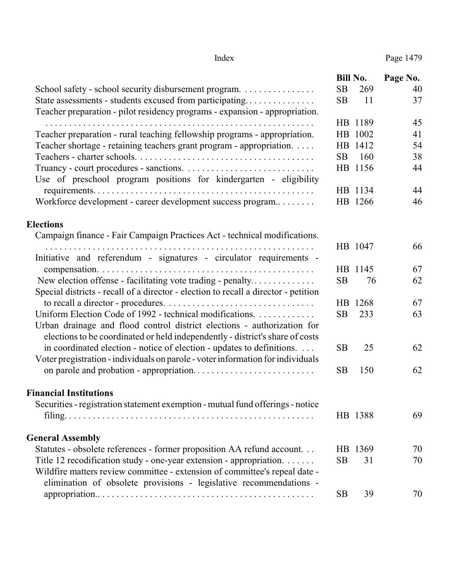|                                                                                                                                                                                                                      | <b>Bill No.</b> |         | Page No. |
|----------------------------------------------------------------------------------------------------------------------------------------------------------------------------------------------------------------------|-----------------|---------|----------|
| School safety - school security disbursement program.                                                                                                                                                                | SB              | 269     | 40       |
| State assessments - students excused from participating<br>Teacher preparation - pilot residency programs - expansion - appropriation.                                                                               | <b>SB</b>       | 11      | 37       |
|                                                                                                                                                                                                                      |                 | HB 1189 | 45       |
| Teacher preparation - rural teaching fellowship programs - appropriation.                                                                                                                                            |                 | HB 1002 | 41       |
| Teacher shortage - retaining teachers grant program - appropriation.                                                                                                                                                 |                 | HB 1412 | 54       |
|                                                                                                                                                                                                                      | <b>SB</b>       | 160     | 38       |
| Use of preschool program positions for kindergarten - eligibility                                                                                                                                                    |                 | HB 1156 | 44       |
|                                                                                                                                                                                                                      |                 | HB 1134 | 44       |
| Workforce development - career development success program                                                                                                                                                           |                 | HB 1266 | 46       |
| <b>Elections</b>                                                                                                                                                                                                     |                 |         |          |
| Campaign finance - Fair Campaign Practices Act - technical modifications.                                                                                                                                            |                 |         |          |
| Initiative and referendum - signatures - circulator requirements -                                                                                                                                                   |                 | HB 1047 | 66       |
| compensation. $\ldots \ldots$                                                                                                                                                                                        |                 | HB 1145 | 67       |
| New election offense - facilitating vote trading - penalty                                                                                                                                                           | <b>SB</b>       | 76      | 62       |
| Special districts - recall of a director - election to recall a director - petition                                                                                                                                  |                 |         |          |
|                                                                                                                                                                                                                      |                 | HB 1268 | 67       |
| Uniform Election Code of 1992 - technical modifications.<br>Urban drainage and flood control district elections - authorization for<br>elections to be coordinated or held independently - district's share of costs | <b>SB</b>       | 233     | 63       |
| in coordinated election - notice of election - updates to definitions.<br>Voter pregistration - individuals on parole - voter information for individuals                                                            | <b>SB</b>       | 25      | 62       |
|                                                                                                                                                                                                                      | <b>SB</b>       | 150     | 62       |
| <b>Financial Institutions</b>                                                                                                                                                                                        |                 |         |          |
| Securities - registration statement exemption - mutual fund offerings - notice                                                                                                                                       |                 |         |          |
|                                                                                                                                                                                                                      |                 | HB 1388 | 69       |
| <b>General Assembly</b>                                                                                                                                                                                              |                 |         |          |
| Statutes - obsolete references - former proposition AA refund account                                                                                                                                                |                 | HB 1369 | 70       |
| Title 12 recodification study - one-year extension - appropriation.                                                                                                                                                  | <b>SB</b>       | 31      | 70       |
| Wildfire matters review committee - extension of committee's repeal date -<br>elimination of obsolete provisions - legislative recommendations -                                                                     |                 |         |          |
|                                                                                                                                                                                                                      | <b>SB</b>       | 39      | 70       |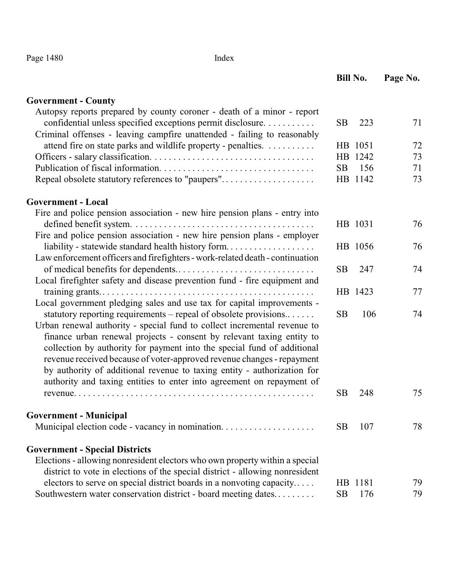|                                                                                                                                                                                                                                                                                                                                                                                                                                                                                                                                | <b>Bill No.</b> |                | Page No. |
|--------------------------------------------------------------------------------------------------------------------------------------------------------------------------------------------------------------------------------------------------------------------------------------------------------------------------------------------------------------------------------------------------------------------------------------------------------------------------------------------------------------------------------|-----------------|----------------|----------|
| <b>Government - County</b>                                                                                                                                                                                                                                                                                                                                                                                                                                                                                                     |                 |                |          |
| Autopsy reports prepared by county coroner - death of a minor - report<br>confidential unless specified exceptions permit disclosure                                                                                                                                                                                                                                                                                                                                                                                           | <b>SB</b>       | 223            | 71       |
| Criminal offenses - leaving campfire unattended - failing to reasonably                                                                                                                                                                                                                                                                                                                                                                                                                                                        |                 |                |          |
| attend fire on state parks and wildlife property - penalties.                                                                                                                                                                                                                                                                                                                                                                                                                                                                  |                 | HB 1051        | 72       |
|                                                                                                                                                                                                                                                                                                                                                                                                                                                                                                                                | HB              | 1242           | 73       |
| Repeal obsolete statutory references to "paupers"                                                                                                                                                                                                                                                                                                                                                                                                                                                                              | <b>SB</b>       | 156<br>HB 1142 | 71<br>73 |
| <b>Government - Local</b>                                                                                                                                                                                                                                                                                                                                                                                                                                                                                                      |                 |                |          |
| Fire and police pension association - new hire pension plans - entry into                                                                                                                                                                                                                                                                                                                                                                                                                                                      |                 | HB 1031        | 76       |
| Fire and police pension association - new hire pension plans - employer<br>liability - statewide standard health history form<br>Law enforcement officers and firefighters - work-related death - continuation                                                                                                                                                                                                                                                                                                                 |                 | HB 1056        | 76       |
| Local firefighter safety and disease prevention fund - fire equipment and                                                                                                                                                                                                                                                                                                                                                                                                                                                      | <b>SB</b>       | 247            | 74       |
| Local government pledging sales and use tax for capital improvements -                                                                                                                                                                                                                                                                                                                                                                                                                                                         |                 | HB 1423        | 77       |
| statutory reporting requirements – repeal of obsolete provisions<br>Urban renewal authority - special fund to collect incremental revenue to<br>finance urban renewal projects - consent by relevant taxing entity to<br>collection by authority for payment into the special fund of additional<br>revenue received because of voter-approved revenue changes - repayment<br>by authority of additional revenue to taxing entity - authorization for<br>authority and taxing entities to enter into agreement on repayment of | <b>SB</b>       | 106            | 74       |
|                                                                                                                                                                                                                                                                                                                                                                                                                                                                                                                                | <b>SB</b>       | 248            | 75       |
| <b>Government - Municipal</b>                                                                                                                                                                                                                                                                                                                                                                                                                                                                                                  |                 |                |          |
|                                                                                                                                                                                                                                                                                                                                                                                                                                                                                                                                | <b>SB</b>       | 107            | 78       |
| <b>Government - Special Districts</b>                                                                                                                                                                                                                                                                                                                                                                                                                                                                                          |                 |                |          |
| Elections - allowing nonresident electors who own property within a special<br>district to vote in elections of the special district - allowing nonresident                                                                                                                                                                                                                                                                                                                                                                    |                 |                |          |
| electors to serve on special district boards in a nonvoting capacity                                                                                                                                                                                                                                                                                                                                                                                                                                                           |                 | HB 1181        | 79       |
| Southwestern water conservation district - board meeting dates                                                                                                                                                                                                                                                                                                                                                                                                                                                                 | <b>SB</b>       | 176            | 79       |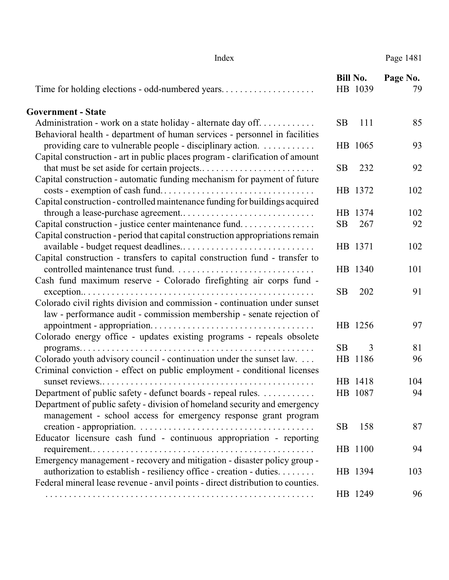|                                                                                                                                              | <b>Bill No.</b> | HB 1039 | Page No.<br>79 |
|----------------------------------------------------------------------------------------------------------------------------------------------|-----------------|---------|----------------|
| <b>Government - State</b>                                                                                                                    |                 |         |                |
| Administration - work on a state holiday - alternate day off<br>Behavioral health - department of human services - personnel in facilities   | <b>SB</b>       | 111     | 85             |
| providing care to vulnerable people - disciplinary action.                                                                                   |                 | HB 1065 | 93             |
| Capital construction - art in public places program - clarification of amount                                                                | SB.             | 232     | 92             |
| Capital construction - automatic funding mechanism for payment of future                                                                     |                 | HB 1372 | 102            |
| Capital construction - controlled maintenance funding for buildings acquired                                                                 |                 | HB 1374 | 102            |
| Capital construction - justice center maintenance fund                                                                                       | SB              | 267     | 92             |
| Capital construction - period that capital construction appropriations remain                                                                |                 |         |                |
|                                                                                                                                              |                 | HB 1371 | 102            |
| Capital construction - transfers to capital construction fund - transfer to                                                                  |                 |         |                |
|                                                                                                                                              |                 | HB 1340 | 101            |
| Cash fund maximum reserve - Colorado firefighting air corps fund -                                                                           |                 |         |                |
|                                                                                                                                              | SB.             | 202     | 91             |
| Colorado civil rights division and commission - continuation under sunset                                                                    |                 |         |                |
| law - performance audit - commission membership - senate rejection of                                                                        |                 |         |                |
|                                                                                                                                              |                 | HB 1256 | 97             |
| Colorado energy office - updates existing programs - repeals obsolete                                                                        | <b>SB</b>       | 3       | 81             |
| Colorado youth advisory council - continuation under the sunset law.                                                                         |                 | HB 1186 | 96             |
| Criminal conviction - effect on public employment - conditional licenses                                                                     |                 |         |                |
|                                                                                                                                              |                 | HB 1418 | 104            |
| Department of public safety - defunct boards - repeal rules.                                                                                 |                 | HB 1087 | 94             |
| Department of public safety - division of homeland security and emergency<br>management - school access for emergency response grant program |                 |         |                |
|                                                                                                                                              | SB.             | 158     | 87             |
| Educator licensure cash fund - continuous appropriation - reporting                                                                          |                 |         |                |
|                                                                                                                                              |                 | HB 1100 | 94             |
| Emergency management - recovery and mitigation - disaster policy group -                                                                     |                 |         |                |
| authorization to establish - resiliency office - creation - duties.                                                                          |                 | HB 1394 | 103            |
| Federal mineral lease revenue - anvil points - direct distribution to counties.                                                              |                 |         |                |
|                                                                                                                                              |                 | HB 1249 | 96             |

Index Page 1481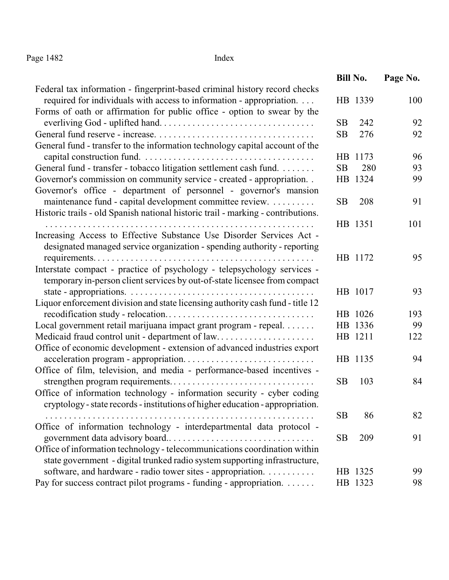Page 1482 Index

|                                                                                                                                                 | <b>Bill No.</b> |         | Page No. |
|-------------------------------------------------------------------------------------------------------------------------------------------------|-----------------|---------|----------|
| Federal tax information - fingerprint-based criminal history record checks                                                                      |                 |         |          |
| required for individuals with access to information - appropriation.<br>Forms of oath or affirmation for public office - option to swear by the |                 | HB 1339 | 100      |
|                                                                                                                                                 | SB              | 242     | 92       |
|                                                                                                                                                 | <b>SB</b>       | 276     | 92       |
| General fund - transfer to the information technology capital account of the                                                                    |                 |         |          |
|                                                                                                                                                 |                 | HB 1173 | 96       |
| General fund - transfer - tobacco litigation settlement cash fund.                                                                              | <b>SB</b>       | 280     | 93       |
| Governor's commission on community service - created - appropriation                                                                            |                 | HB 1324 | 99       |
| Governor's office - department of personnel - governor's mansion                                                                                |                 |         |          |
| maintenance fund - capital development committee review.                                                                                        | SВ              | 208     | 91       |
| Historic trails - old Spanish national historic trail - marking - contributions.                                                                |                 |         |          |
|                                                                                                                                                 |                 | HB 1351 | 101      |
| Increasing Access to Effective Substance Use Disorder Services Act -                                                                            |                 |         |          |
| designated managed service organization - spending authority - reporting                                                                        |                 |         |          |
|                                                                                                                                                 |                 | HB 1172 | 95       |
| Interstate compact - practice of psychology - telepsychology services -                                                                         |                 |         |          |
| temporary in-person client services by out-of-state licensee from compact                                                                       |                 |         |          |
|                                                                                                                                                 |                 | HB 1017 | 93       |
| Liquor enforcement division and state licensing authority cash fund - title 12                                                                  |                 |         |          |
|                                                                                                                                                 |                 | HB 1026 | 193      |
| Local government retail marijuana impact grant program - repeal.                                                                                |                 | HB 1336 | 99       |
| Medicaid fraud control unit - department of law                                                                                                 |                 | HB 1211 | 122      |
| Office of economic development - extension of advanced industries export                                                                        |                 |         |          |
|                                                                                                                                                 |                 | HB 1135 | 94       |
| Office of film, television, and media - performance-based incentives -                                                                          |                 |         |          |
|                                                                                                                                                 | <b>SB</b>       | 103     | 84       |
| Office of information technology - information security - cyber coding                                                                          |                 |         |          |
| cryptology - state records - institutions of higher education - appropriation.                                                                  |                 |         |          |
|                                                                                                                                                 | <b>SB</b>       | 86      | 82       |
| Office of information technology - interdepartmental data protocol -                                                                            |                 |         |          |
|                                                                                                                                                 | <b>SB</b>       | 209     | 91       |
| Office of information technology - telecommunications coordination within                                                                       |                 |         |          |
| state government - digital trunked radio system supporting infrastructure,                                                                      |                 |         |          |
| software, and hardware - radio tower sites - appropriation.                                                                                     |                 | HB 1325 | 99       |
| Pay for success contract pilot programs - funding - appropriation.                                                                              |                 | HB 1323 | 98       |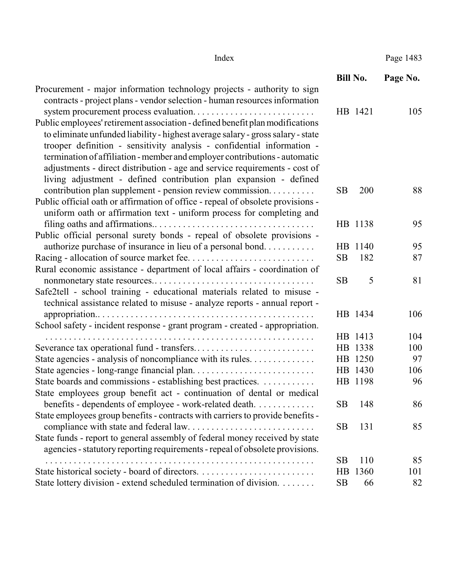|                                                                                                                                                                                                                                                                                                                                                                                                                                                                             | <b>Bill No.</b> |         | Page No. |
|-----------------------------------------------------------------------------------------------------------------------------------------------------------------------------------------------------------------------------------------------------------------------------------------------------------------------------------------------------------------------------------------------------------------------------------------------------------------------------|-----------------|---------|----------|
| Procurement - major information technology projects - authority to sign<br>contracts - project plans - vendor selection - human resources information                                                                                                                                                                                                                                                                                                                       |                 | HB 1421 | 105      |
| Public employees' retirement association - defined benefit plan modifications<br>to eliminate unfunded liability - highest average salary - gross salary - state<br>trooper definition - sensitivity analysis - confidential information -<br>termination of affiliation - member and employer contributions - automatic<br>adjustments - direct distribution - age and service requirements - cost of<br>living adjustment - defined contribution plan expansion - defined |                 |         |          |
| contribution plan supplement - pension review commission<br>Public official oath or affirmation of office - repeal of obsolete provisions -<br>uniform oath or affirmation text - uniform process for completing and                                                                                                                                                                                                                                                        | SB.             | 200     | 88       |
| Public official personal surety bonds - repeal of obsolete provisions -                                                                                                                                                                                                                                                                                                                                                                                                     |                 | HB 1138 | 95       |
| authorize purchase of insurance in lieu of a personal bond                                                                                                                                                                                                                                                                                                                                                                                                                  |                 | HB 1140 | 95       |
| Rural economic assistance - department of local affairs - coordination of                                                                                                                                                                                                                                                                                                                                                                                                   | <b>SB</b>       | 182     | 87       |
| Safe2tell - school training - educational materials related to misuse -<br>technical assistance related to misuse - analyze reports - annual report -                                                                                                                                                                                                                                                                                                                       | SB              | 5       | 81       |
| School safety - incident response - grant program - created - appropriation.                                                                                                                                                                                                                                                                                                                                                                                                |                 | HB 1434 | 106      |
|                                                                                                                                                                                                                                                                                                                                                                                                                                                                             |                 | HB 1413 | 104      |
|                                                                                                                                                                                                                                                                                                                                                                                                                                                                             |                 | HB 1338 | 100      |
| State agencies - analysis of noncompliance with its rules.                                                                                                                                                                                                                                                                                                                                                                                                                  |                 | HB 1250 | 97       |
|                                                                                                                                                                                                                                                                                                                                                                                                                                                                             |                 | HB 1430 | 106      |
| State boards and commissions - establishing best practices.<br>State employees group benefit act - continuation of dental or medical                                                                                                                                                                                                                                                                                                                                        |                 | HB 1198 | 96       |
| benefits - dependents of employee - work-related death.<br>State employees group benefits - contracts with carriers to provide benefits -                                                                                                                                                                                                                                                                                                                                   | <b>SB</b>       | 148     | 86       |
| State funds - report to general assembly of federal money received by state<br>agencies - statutory reporting requirements - repeal of obsolete provisions.                                                                                                                                                                                                                                                                                                                 | SB.             | 131     | 85       |
|                                                                                                                                                                                                                                                                                                                                                                                                                                                                             | <b>SB</b>       | 110     | 85       |
|                                                                                                                                                                                                                                                                                                                                                                                                                                                                             | HB              | 1360    | 101      |
| State lottery division - extend scheduled termination of division.                                                                                                                                                                                                                                                                                                                                                                                                          | <b>SB</b>       | 66      | 82       |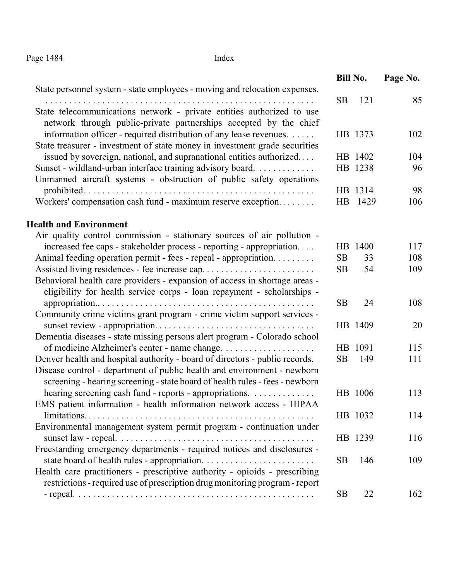| Page 1484 | Index |
|-----------|-------|
|-----------|-------|

|                                                                                                                                         | <b>Bill No.</b> |         | Page No. |
|-----------------------------------------------------------------------------------------------------------------------------------------|-----------------|---------|----------|
| State personnel system - state employees - moving and relocation expenses.                                                              | <b>SB</b>       | 121     | 85       |
| State telecommunications network - private entities authorized to use                                                                   |                 |         |          |
| network through public-private partnerships accepted by the chief<br>information officer - required distribution of any lease revenues. |                 | HB 1373 | 102      |
| State treasurer - investment of state money in investment grade securities                                                              |                 |         |          |
| issued by sovereign, national, and supranational entities authorized                                                                    |                 | HB 1402 | 104      |
| Sunset - wildland-urban interface training advisory board.                                                                              |                 | HB 1238 | 96       |
| Unmanned aircraft systems - obstruction of public safety operations                                                                     |                 |         |          |
|                                                                                                                                         |                 | HB 1314 | 98       |
| Workers' compensation cash fund - maximum reserve exception                                                                             | HB              | 1429    | 106      |
| <b>Health and Environment</b>                                                                                                           |                 |         |          |
| Air quality control commission - stationary sources of air pollution -                                                                  |                 |         |          |
| increased fee caps - stakeholder process - reporting - appropriation                                                                    | HB              | 1400    | 117      |
| Animal feeding operation permit - fees - repeal - appropriation                                                                         | <b>SB</b>       | 33      | 108      |
| Assisted living residences - fee increase cap                                                                                           | SB              | 54      | 109      |
| Behavioral health care providers - expansion of access in shortage areas -                                                              |                 |         |          |
| eligibility for health service corps - loan repayment - scholarships -                                                                  |                 |         |          |
|                                                                                                                                         | <b>SB</b>       | 24      | 108      |
| Community crime victims grant program - crime victim support services -                                                                 |                 | HB 1409 | 20       |
| Dementia diseases - state missing persons alert program - Colorado school                                                               |                 |         |          |
|                                                                                                                                         | H <sub>B</sub>  | 1091    | 115      |
| Denver health and hospital authority - board of directors - public records.                                                             | <b>SB</b>       | 149     | 111      |
| Disease control - department of public health and environment - newborn                                                                 |                 |         |          |
| screening - hearing screening - state board of health rules - fees - newborn                                                            |                 |         |          |
| hearing screening cash fund - reports - appropriations.                                                                                 |                 | HB 1006 | 113      |
| EMS patient information - health information network access - HIPAA                                                                     |                 |         |          |
|                                                                                                                                         |                 | HB 1032 | 114      |
| Environmental management system permit program - continuation under                                                                     |                 |         |          |
| Freestanding emergency departments - required notices and disclosures -                                                                 |                 | HB 1239 | 116      |
|                                                                                                                                         | SB <sub>1</sub> | 146     | 109      |
| Health care practitioners - prescriptive authority - opioids - prescribing                                                              |                 |         |          |
| restrictions - required use of prescription drug monitoring program - report                                                            |                 |         |          |
|                                                                                                                                         | <b>SB</b>       | 22      | 162      |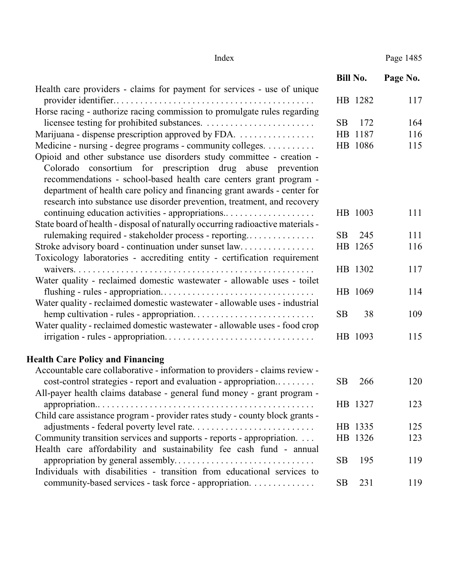Index Page 1485

|                                                                                               | <b>Bill No.</b>  | Page No. |
|-----------------------------------------------------------------------------------------------|------------------|----------|
| Health care providers - claims for payment for services - use of unique                       |                  |          |
|                                                                                               | HB 1282          | 117      |
| Horse racing - authorize racing commission to promulgate rules regarding                      |                  |          |
|                                                                                               | <b>SB</b><br>172 | 164      |
| Marijuana - dispense prescription approved by FDA.                                            | HB<br>1187       | 116      |
| Medicine - nursing - degree programs - community colleges.                                    | HB 1086          | 115      |
| Opioid and other substance use disorders study committee - creation -                         |                  |          |
| Colorado consortium for prescription drug abuse prevention                                    |                  |          |
| recommendations - school-based health care centers grant program -                            |                  |          |
| department of health care policy and financing grant awards - center for                      |                  |          |
| research into substance use disorder prevention, treatment, and recovery                      |                  |          |
| continuing education activities - appropriations                                              | HB 1003          | 111      |
| State board of health - disposal of naturally occurring radioactive materials -               |                  |          |
| rulemaking required - stakeholder process - reporting                                         | <b>SB</b><br>245 | 111      |
| Stroke advisory board - continuation under sunset law                                         | HB 1265          | 116      |
| Toxicology laboratories - accrediting entity - certification requirement<br>waivers. $\ldots$ |                  |          |
|                                                                                               | HB 1302          | 117      |
| Water quality - reclaimed domestic wastewater - allowable uses - toilet                       |                  |          |
|                                                                                               | HB 1069          | 114      |
| Water quality - reclaimed domestic wastewater - allowable uses - industrial                   |                  |          |
| hemp cultivation - rules - appropriation                                                      | <b>SB</b><br>38  | 109      |
| Water quality - reclaimed domestic wastewater - allowable uses - food crop                    |                  |          |
|                                                                                               | HB 1093          | 115      |
| <b>Health Care Policy and Financing</b>                                                       |                  |          |
| Accountable care collaborative - information to providers - claims review -                   |                  |          |
| cost-control strategies - report and evaluation - appropriation                               | 266<br><b>SB</b> | 120      |
| All-payer health claims database - general fund money - grant program -                       |                  |          |
|                                                                                               | HB 1327          | 123      |
| Child care assistance program - provider rates study - county block grants -                  |                  |          |
|                                                                                               | HB 1335          | 125      |
| Community transition services and supports - reports - appropriation.                         | HB 1326          | 123      |
| Health care affordability and sustainability fee cash fund - annual                           |                  |          |
|                                                                                               | 195<br>SB        | 119      |
| Individuals with disabilities - transition from educational services to                       |                  |          |
| community-based services - task force - appropriation.                                        | <b>SB</b><br>231 | 119      |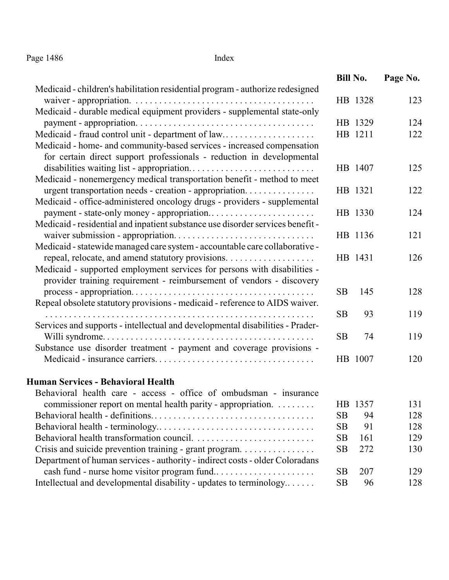Page 1486 Index

|                                                                                                                                                                                                                                 | <b>Bill No.</b> |     | Page No. |
|---------------------------------------------------------------------------------------------------------------------------------------------------------------------------------------------------------------------------------|-----------------|-----|----------|
| Medicaid - children's habilitation residential program - authorize redesigned                                                                                                                                                   |                 |     |          |
| waiver - appropriation. $\ldots \ldots \ldots \ldots \ldots \ldots \ldots \ldots \ldots \ldots \ldots$                                                                                                                          | HB 1328         |     | 123      |
| Medicaid - durable medical equipment providers - supplemental state-only                                                                                                                                                        |                 |     |          |
|                                                                                                                                                                                                                                 | HB 1329         |     | 124      |
| Medicaid - fraud control unit - department of law                                                                                                                                                                               | HB 1211         |     | 122      |
| Medicaid - home- and community-based services - increased compensation                                                                                                                                                          |                 |     |          |
| for certain direct support professionals - reduction in developmental                                                                                                                                                           |                 |     |          |
|                                                                                                                                                                                                                                 | HB 1407         |     | 125      |
| Medicaid - nonemergency medical transportation benefit - method to meet                                                                                                                                                         |                 |     |          |
| urgent transportation needs - creation - appropriation                                                                                                                                                                          | HB 1321         |     | 122      |
| Medicaid - office-administered oncology drugs - providers - supplemental                                                                                                                                                        | HB 1330         |     | 124      |
| Medicaid - residential and inpatient substance use disorder services benefit -                                                                                                                                                  |                 |     |          |
|                                                                                                                                                                                                                                 | HB 1136         |     | 121      |
| Medicaid - statewide managed care system - accountable care collaborative -                                                                                                                                                     |                 |     |          |
|                                                                                                                                                                                                                                 | HB 1431         |     | 126      |
| Medicaid - supported employment services for persons with disabilities -                                                                                                                                                        |                 |     |          |
| provider training requirement - reimbursement of vendors - discovery                                                                                                                                                            |                 |     |          |
|                                                                                                                                                                                                                                 | SB.             | 145 | 128      |
| Repeal obsolete statutory provisions - medicaid - reference to AIDS waiver.                                                                                                                                                     |                 |     |          |
|                                                                                                                                                                                                                                 | <b>SB</b>       | 93  | 119      |
| Services and supports - intellectual and developmental disabilities - Prader-                                                                                                                                                   |                 |     |          |
|                                                                                                                                                                                                                                 | <b>SB</b>       | 74  | 119      |
| Substance use disorder treatment - payment and coverage provisions -                                                                                                                                                            |                 |     |          |
|                                                                                                                                                                                                                                 | HB 1007         |     | 120      |
|                                                                                                                                                                                                                                 |                 |     |          |
| <b>Human Services - Behavioral Health</b>                                                                                                                                                                                       |                 |     |          |
| Behavioral health care - access - office of ombudsman - insurance                                                                                                                                                               |                 |     |          |
| $\sim$ . The contract compared with the contract of the contract of the contract of the contract of the contract of the contract of the contract of the contract of the contract of the contract of the contract of the contrac | TID 1257        |     | 121      |

| commissioner report on mental health parity - appropriation.                 |     | HB 1357 | 131 |
|------------------------------------------------------------------------------|-----|---------|-----|
|                                                                              | SB. | 94      | 128 |
|                                                                              | SB. | 91      | 128 |
|                                                                              | SB. | 161     | 129 |
| Crisis and suicide prevention training - grant program                       |     | SB 272  | 130 |
| Department of human services - authority - indirect costs - older Coloradans |     |         |     |
|                                                                              | SB. | 207     | 129 |
| Intellectual and developmental disability - updates to terminology           | SB. | 96      | 128 |
|                                                                              |     |         |     |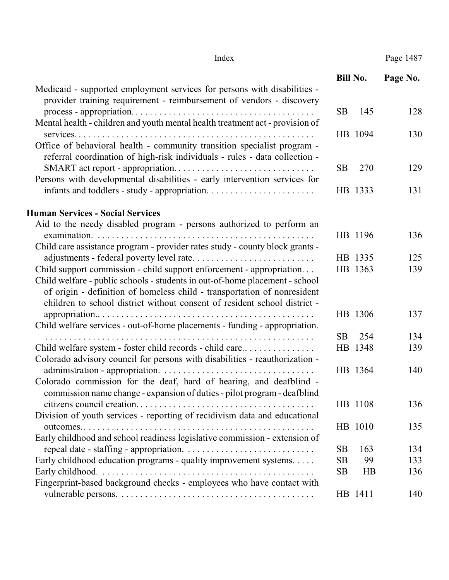|                                                                                                       | <b>Bill No.</b> |           | Page No. |
|-------------------------------------------------------------------------------------------------------|-----------------|-----------|----------|
| Medicaid - supported employment services for persons with disabilities -                              |                 |           |          |
| provider training requirement - reimbursement of vendors - discovery                                  |                 |           |          |
|                                                                                                       | SB.             | 145       | 128      |
| Mental health - children and youth mental health treatment act - provision of                         | HB 1094         |           | 130      |
| Office of behavioral health - community transition specialist program -                               |                 |           |          |
| referral coordination of high-risk individuals - rules - data collection -                            |                 |           |          |
| SMART act report - appropriation                                                                      | SB.             | 270       | 129      |
| Persons with developmental disabilities - early intervention services for                             |                 |           |          |
|                                                                                                       | HB 1333         |           | 131      |
|                                                                                                       |                 |           |          |
| <b>Human Services - Social Services</b>                                                               |                 |           |          |
| Aid to the needy disabled program - persons authorized to perform an                                  |                 |           |          |
|                                                                                                       | HB 1196         |           | 136      |
| Child care assistance program - provider rates study - county block grants -                          |                 |           |          |
|                                                                                                       | HB 1335         |           | 125      |
| Child support commission - child support enforcement - appropriation                                  | HB 1363         |           | 139      |
| Child welfare - public schools - students in out-of-home placement - school                           |                 |           |          |
| of origin - definition of homeless child - transportation of nonresident                              |                 |           |          |
| children to school district without consent of resident school district -                             |                 |           |          |
|                                                                                                       | HB 1306         |           | 137      |
| Child welfare services - out-of-home placements - funding - appropriation.                            |                 |           |          |
|                                                                                                       | SB.             | 254       | 134      |
| Child welfare system - foster child records - child care                                              | HB 1348         |           | 139      |
| Colorado advisory council for persons with disabilities - reauthorization -                           |                 |           |          |
|                                                                                                       | HB 1364         |           | 140      |
| Colorado commission for the deaf, hard of hearing, and deafblind -                                    |                 |           |          |
| commission name change - expansion of duties - pilot program - deafblind<br>citizens council creation | HB 1108         |           | 136      |
| Division of youth services - reporting of recidivism data and educational                             |                 |           |          |
|                                                                                                       | HB 1010         |           | 135      |
| Early childhood and school readiness legislative commission - extension of                            |                 |           |          |
|                                                                                                       | <b>SB</b>       | 163       | 134      |
| Early childhood education programs - quality improvement systems                                      | <b>SB</b>       | 99        | 133      |
|                                                                                                       | <b>SB</b>       | <b>HB</b> | 136      |
| Fingerprint-based background checks - employees who have contact with                                 |                 |           |          |
|                                                                                                       | HB 1411         |           | 140      |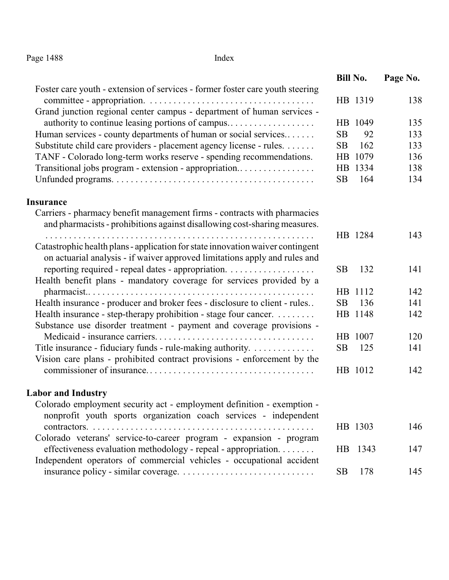| Page 1488 |  |
|-----------|--|
|-----------|--|

Index

|                                                                                                                              | <b>Bill No.</b>               | Page No.   |
|------------------------------------------------------------------------------------------------------------------------------|-------------------------------|------------|
| Foster care youth - extension of services - former foster care youth steering                                                |                               |            |
|                                                                                                                              | HB 1319                       | 138        |
| Grand junction regional center campus - department of human services -                                                       |                               |            |
| authority to continue leasing portions of campus                                                                             | HB 1049                       | 135        |
| Human services - county departments of human or social services                                                              | <b>SB</b><br>92               | 133        |
| Substitute child care providers - placement agency license - rules.                                                          | <b>SB</b><br>162<br><b>HB</b> | 133        |
| TANF - Colorado long-term works reserve - spending recommendations.<br>Transitional jobs program - extension - appropriation | 1079<br>1334<br>HB            | 136<br>138 |
|                                                                                                                              | SB<br>164                     | 134        |
|                                                                                                                              |                               |            |
| <b>Insurance</b>                                                                                                             |                               |            |
| Carriers - pharmacy benefit management firms - contracts with pharmacies                                                     |                               |            |
| and pharmacists - prohibitions against disallowing cost-sharing measures.                                                    |                               |            |
|                                                                                                                              | HB 1284                       | 143        |
| Catastrophic health plans - application for state innovation waiver contingent                                               |                               |            |
| on actuarial analysis - if waiver approved limitations apply and rules and                                                   |                               |            |
| reporting required - repeal dates - appropriation.                                                                           | <b>SB</b><br>132              | 141        |
| Health benefit plans - mandatory coverage for services provided by a                                                         | HB 1112                       | 142        |
| Health insurance - producer and broker fees - disclosure to client - rules                                                   | <b>SB</b><br>136              | 141        |
| Health insurance - step-therapy prohibition - stage four cancer.                                                             | HB 1148                       | 142        |
| Substance use disorder treatment - payment and coverage provisions -                                                         |                               |            |
|                                                                                                                              | HB 1007                       | 120        |
| Title insurance - fiduciary funds - rule-making authority.                                                                   | SB<br>125                     | 141        |
| Vision care plans - prohibited contract provisions - enforcement by the                                                      |                               |            |
|                                                                                                                              | HB 1012                       | 142        |
|                                                                                                                              |                               |            |
| <b>Labor and Industry</b>                                                                                                    |                               |            |
| Colorado employment security act - employment definition - exemption -                                                       |                               |            |
| nonprofit youth sports organization coach services - independent                                                             |                               |            |
|                                                                                                                              | HB 1303                       | 146        |
| Colorado veterans' service-to-career program - expansion - program                                                           |                               |            |
| effectiveness evaluation methodology - repeal - appropriation.                                                               | <b>HB</b><br>1343             | 147        |
| Independent operators of commercial vehicles - occupational accident                                                         |                               |            |
|                                                                                                                              | 178<br>SB                     | 145        |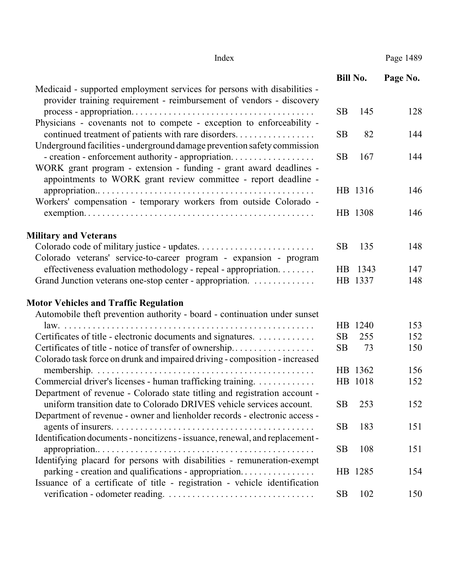|                                                                                                                                                                                                                                                                          | <b>Bill No.</b> |         | Page No. |
|--------------------------------------------------------------------------------------------------------------------------------------------------------------------------------------------------------------------------------------------------------------------------|-----------------|---------|----------|
| Medicaid - supported employment services for persons with disabilities -                                                                                                                                                                                                 |                 |         |          |
| provider training requirement - reimbursement of vendors - discovery                                                                                                                                                                                                     | <b>SB</b>       | 145     | 128      |
| Physicians - covenants not to compete - exception to enforceability -<br>continued treatment of patients with rare disorders                                                                                                                                             | <b>SB</b>       | 82      | 144      |
| Underground facilities - underground damage prevention safety commission<br>- creation - enforcement authority - appropriation.<br>WORK grant program - extension - funding - grant award deadlines -<br>appointments to WORK grant review committee - report deadline - | <b>SB</b>       | 167     | 144      |
|                                                                                                                                                                                                                                                                          |                 | HB 1316 | 146      |
| Workers' compensation - temporary workers from outside Colorado -                                                                                                                                                                                                        |                 | HB 1308 | 146      |
| <b>Military and Veterans</b>                                                                                                                                                                                                                                             |                 |         |          |
| Colorado veterans' service-to-career program - expansion - program                                                                                                                                                                                                       | SB.             | 135     | 148      |
| effectiveness evaluation methodology - repeal - appropriation.                                                                                                                                                                                                           | H <sub>B</sub>  | 1343    | 147      |
| Grand Junction veterans one-stop center - appropriation.                                                                                                                                                                                                                 |                 | HB 1337 | 148      |
| <b>Motor Vehicles and Traffic Regulation</b>                                                                                                                                                                                                                             |                 |         |          |
| Automobile theft prevention authority - board - continuation under sunset                                                                                                                                                                                                |                 |         |          |
|                                                                                                                                                                                                                                                                          |                 | HB 1240 | 153      |
| Certificates of title - electronic documents and signatures.                                                                                                                                                                                                             | <b>SB</b>       | 255     | 152      |
| Certificates of title - notice of transfer of ownership                                                                                                                                                                                                                  | <b>SB</b>       | 73      | 150      |
| Colorado task force on drunk and impaired driving - composition - increased                                                                                                                                                                                              |                 | HB 1362 | 156      |
| Commercial driver's licenses - human trafficking training.                                                                                                                                                                                                               |                 | HB 1018 | 152      |
| Department of revenue - Colorado state titling and registration account -                                                                                                                                                                                                |                 |         |          |
| uniform transition date to Colorado DRIVES vehicle services account.                                                                                                                                                                                                     | <b>SB</b>       | 253     | 152      |
| Department of revenue - owner and lienholder records - electronic access -                                                                                                                                                                                               |                 |         |          |
|                                                                                                                                                                                                                                                                          | SB              | 183     | 151      |
| Identification documents - noncitizens - issuance, renewal, and replacement -                                                                                                                                                                                            |                 |         |          |
|                                                                                                                                                                                                                                                                          | <b>SB</b>       | 108     | 151      |
| Identifying placard for persons with disabilities - remuneration-exempt                                                                                                                                                                                                  |                 |         |          |
| parking - creation and qualifications - appropriation                                                                                                                                                                                                                    |                 | HB 1285 | 154      |
| Issuance of a certificate of title - registration - vehicle identification                                                                                                                                                                                               |                 |         |          |
|                                                                                                                                                                                                                                                                          | <b>SB</b>       | 102     | 150      |

Index Page 1489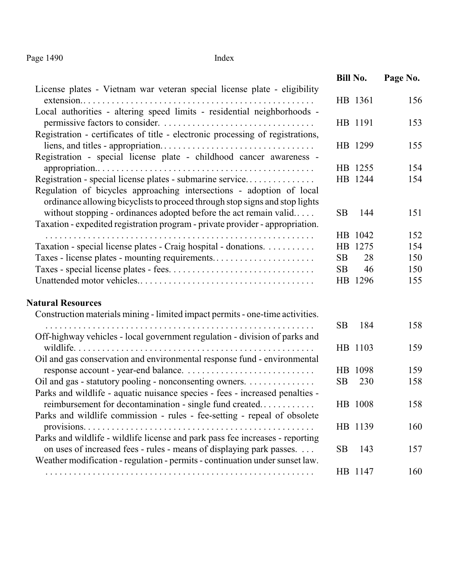Page 1490 Index

|                                                                                | <b>Bill No.</b>  | Page No. |
|--------------------------------------------------------------------------------|------------------|----------|
| License plates - Vietnam war veteran special license plate - eligibility       | HB 1361          | 156      |
| Local authorities - altering speed limits - residential neighborhoods -        |                  |          |
|                                                                                | HB 1191          | 153      |
| Registration - certificates of title - electronic processing of registrations, | HB 1299          | 155      |
| Registration - special license plate - childhood cancer awareness -            |                  |          |
|                                                                                | HB 1255          | 154      |
| Registration - special license plates - submarine service                      | HB 1244          | 154      |
| Regulation of bicycles approaching intersections - adoption of local           |                  |          |
| ordinance allowing bicyclists to proceed through stop signs and stop lights    |                  |          |
| without stopping - ordinances adopted before the act remain valid              | SB<br>144        | 151      |
| Taxation - expedited registration program - private provider - appropriation.  |                  |          |
|                                                                                | HB 1042          | 152      |
| Taxation - special license plates - Craig hospital - donations.                | HB<br>1275       | 154      |
| Taxes - license plates - mounting requirements                                 | <b>SB</b><br>28  | 150      |
|                                                                                | <b>SB</b><br>46  | 150      |
|                                                                                | HB 1296          | 155      |
| <b>Natural Resources</b>                                                       |                  |          |
| Construction materials mining - limited impact permits - one-time activities.  |                  |          |
|                                                                                | 184<br><b>SB</b> | 158      |
| Off-highway vehicles - local government regulation - division of parks and     |                  |          |
| wildlife. $\ldots$                                                             | HB 1103          | 159      |
| Oil and gas conservation and environmental response fund - environmental       |                  |          |
|                                                                                | HB 1098          | 159      |
| Oil and gas - statutory pooling - nonconsenting owners.                        | <b>SB</b><br>230 | 158      |
| Parks and wildlife - aquatic nuisance species - fees - increased penalties -   |                  |          |
| reimbursement for decontamination - single fund created                        | HB 1008          | 158      |
| Parks and wildlife commission - rules - fee-setting - repeal of obsolete       |                  |          |
|                                                                                | HB 1139          | 160      |
| Parks and wildlife - wildlife license and park pass fee increases - reporting  |                  |          |
| on uses of increased fees - rules - means of displaying park passes.           | <b>SB</b><br>143 | 157      |
| Weather modification - regulation - permits - continuation under sunset law.   |                  |          |
|                                                                                | HB 1147          | 160      |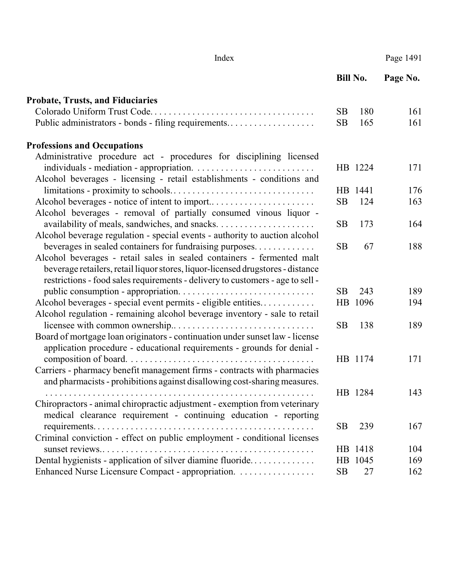| Index                                                                           |                 |         | Page 1491 |
|---------------------------------------------------------------------------------|-----------------|---------|-----------|
|                                                                                 | <b>Bill No.</b> |         | Page No.  |
| <b>Probate, Trusts, and Fiduciaries</b>                                         |                 |         |           |
|                                                                                 | SB.             | 180     | 161       |
| Public administrators - bonds - filing requirements                             | <b>SB</b>       | 165     | 161       |
| <b>Professions and Occupations</b>                                              |                 |         |           |
| Administrative procedure act - procedures for disciplining licensed             |                 |         |           |
|                                                                                 |                 | HB 1224 | 171       |
| Alcohol beverages - licensing - retail establishments - conditions and          |                 |         |           |
|                                                                                 |                 | HB 1441 | 176       |
| Alcohol beverages - notice of intent to import                                  | <b>SB</b>       | 124     | 163       |
| Alcohol beverages - removal of partially consumed vinous liquor -               |                 |         |           |
|                                                                                 | SB.             | 173     | 164       |
| Alcohol beverage regulation - special events - authority to auction alcohol     |                 |         |           |
| beverages in sealed containers for fundraising purposes                         | <b>SB</b>       | 67      | 188       |
| Alcohol beverages - retail sales in sealed containers - fermented malt          |                 |         |           |
| beverage retailers, retail liquor stores, liquor-licensed drugstores - distance |                 |         |           |
| restrictions - food sales requirements - delivery to customers - age to sell -  |                 |         |           |
|                                                                                 | SB.             | 243     | 189       |
| Alcohol beverages - special event permits - eligible entities                   |                 | HB 1096 | 194       |
| Alcohol regulation - remaining alcohol beverage inventory - sale to retail      |                 |         |           |
|                                                                                 | <b>SB</b>       | 138     | 189       |
| Board of mortgage loan originators - continuation under sunset law - license    |                 |         |           |
| application procedure - educational requirements - grounds for denial -         |                 |         |           |
|                                                                                 |                 | HB 1174 | 171       |
| Carriers - pharmacy benefit management firms - contracts with pharmacies        |                 |         |           |
| and pharmacists - prohibitions against disallowing cost-sharing measures.       |                 |         |           |
|                                                                                 |                 | HB 1284 | 143       |
| Chiropractors - animal chiropractic adjustment - exemption from veterinary      |                 |         |           |
| medical clearance requirement - continuing education - reporting                | <b>SB</b>       | 239     | 167       |
| Criminal conviction - effect on public employment - conditional licenses        |                 |         |           |
|                                                                                 |                 | HB 1418 | 104       |
| Dental hygienists - application of silver diamine fluoride                      |                 | HB 1045 | 169       |
| Enhanced Nurse Licensure Compact - appropriation.                               | <b>SB</b>       | 27      | 162       |
|                                                                                 |                 |         |           |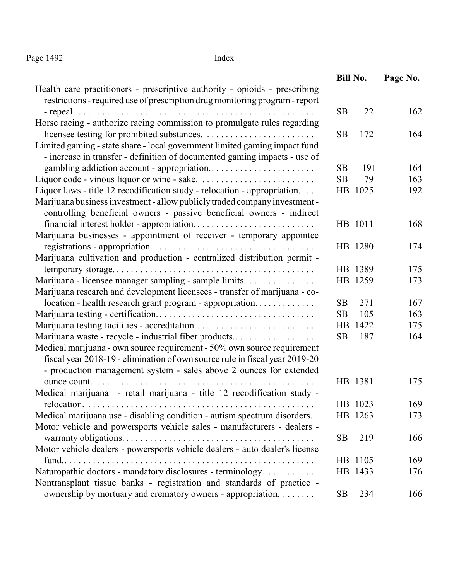Page 1492 Index

|                                                                                                                                                            |           | <b>Bill No.</b> | Page No. |
|------------------------------------------------------------------------------------------------------------------------------------------------------------|-----------|-----------------|----------|
| Health care practitioners - prescriptive authority - opioids - prescribing<br>restrictions - required use of prescription drug monitoring program - report |           |                 |          |
|                                                                                                                                                            | <b>SB</b> | 22              | 162      |
| Horse racing - authorize racing commission to promulgate rules regarding                                                                                   |           |                 |          |
|                                                                                                                                                            | <b>SB</b> | 172             | 164      |
| Limited gaming - state share - local government limited gaming impact fund                                                                                 |           |                 |          |
| - increase in transfer - definition of documented gaming impacts - use of                                                                                  |           |                 |          |
|                                                                                                                                                            | <b>SB</b> | 191             | 164      |
|                                                                                                                                                            | <b>SB</b> | 79              | 163      |
| Liquor laws - title 12 recodification study - relocation - appropriation                                                                                   |           | HB 1025         | 192      |
| Marijuana business investment - allow publicly traded company investment -<br>controlling beneficial owners - passive beneficial owners - indirect         |           |                 |          |
|                                                                                                                                                            |           | HB 1011         | 168      |
| Marijuana businesses - appointment of receiver - temporary appointee                                                                                       |           |                 |          |
|                                                                                                                                                            |           | HB 1280         | 174      |
| Marijuana cultivation and production - centralized distribution permit -                                                                                   |           |                 |          |
|                                                                                                                                                            |           | HB 1389         | 175      |
| Marijuana - licensee manager sampling - sample limits.                                                                                                     |           | HB 1259         | 173      |
| Marijuana research and development licensees - transfer of marijuana - co-                                                                                 |           |                 |          |
| location - health research grant program - appropriation                                                                                                   | <b>SB</b> | 271             | 167      |
|                                                                                                                                                            | <b>SB</b> | 105             | 163      |
|                                                                                                                                                            | HB        | 1422            | 175      |
| Marijuana waste - recycle - industrial fiber products                                                                                                      | <b>SB</b> | 187             | 164      |
| Medical marijuana - own source requirement - 50% own source requirement                                                                                    |           |                 |          |
| fiscal year 2018-19 - elimination of own source rule in fiscal year 2019-20                                                                                |           |                 |          |
| - production management system - sales above 2 ounces for extended                                                                                         |           |                 |          |
|                                                                                                                                                            |           | HB 1381         | 175      |
| Medical marijuana - retail marijuana - title 12 recodification study -                                                                                     |           |                 |          |
|                                                                                                                                                            |           | HB 1023         | 169      |
| Medical marijuana use - disabling condition - autism spectrum disorders.                                                                                   |           | HB 1263         | 173      |
| Motor vehicle and powersports vehicle sales - manufacturers - dealers -                                                                                    |           |                 |          |
|                                                                                                                                                            | SВ        | 219             | 166      |
| Motor vehicle dealers - powersports vehicle dealers - auto dealer's license                                                                                |           |                 |          |
|                                                                                                                                                            |           | HB 1105         | 169      |
| Naturopathic doctors - mandatory disclosures - terminology.                                                                                                |           | HB 1433         | 176      |
| Nontransplant tissue banks - registration and standards of practice -                                                                                      |           |                 |          |
| ownership by mortuary and crematory owners - appropriation.                                                                                                | <b>SB</b> | 234             | 166      |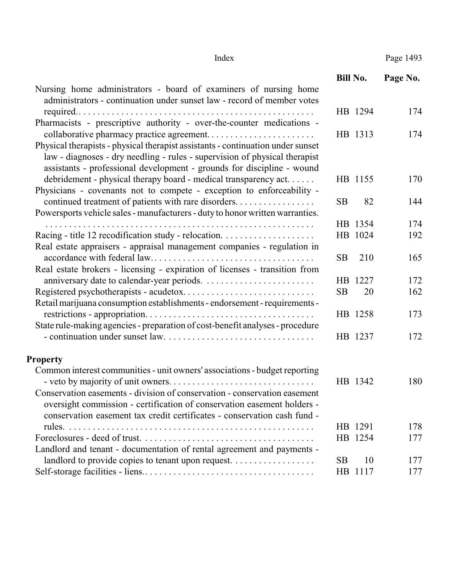|                                                                                 | <b>Bill No.</b>      | Page No.   |
|---------------------------------------------------------------------------------|----------------------|------------|
| Nursing home administrators - board of examiners of nursing home                |                      |            |
| administrators - continuation under sunset law - record of member votes         |                      |            |
|                                                                                 | HB 1294              | 174        |
| Pharmacists - prescriptive authority - over-the-counter medications -           | HB 1313              | 174        |
| Physical therapists - physical therapist assistants - continuation under sunset |                      |            |
| law - diagnoses - dry needling - rules - supervision of physical therapist      |                      |            |
| assistants - professional development - grounds for discipline - wound          |                      |            |
| debridement - physical therapy board - medical transparency act                 | HB 1155              | 170        |
| Physicians - covenants not to compete - exception to enforceability -           |                      |            |
| continued treatment of patients with rare disorders                             | 82<br><b>SB</b>      | 144        |
| Powersports vehicle sales - manufacturers - duty to honor written warranties.   | HB 1354              | 174        |
|                                                                                 | HB 1024              | 192        |
| Real estate appraisers - appraisal management companies - regulation in         |                      |            |
|                                                                                 | <b>SB</b><br>210     | 165        |
| Real estate brokers - licensing - expiration of licenses - transition from      |                      |            |
|                                                                                 | HB 1227              | 172        |
| Retail marijuana consumption establishments - endorsement - requirements -      | <b>SB</b><br>20      | 162        |
|                                                                                 | HB 1258              | 173        |
| State rule-making agencies - preparation of cost-benefit analyses - procedure   |                      |            |
|                                                                                 | HB 1237              | 172        |
|                                                                                 |                      |            |
| <b>Property</b>                                                                 |                      |            |
| Common interest communities - unit owners' associations - budget reporting      | HB 1342              | 180        |
| Conservation easements - division of conservation - conservation easement       |                      |            |
| oversight commission - certification of conservation easement holders -         |                      |            |
| conservation easement tax credit certificates - conservation cash fund -        |                      |            |
|                                                                                 | HB 1291              | 178        |
|                                                                                 | HB 1254              | 177        |
| Landlord and tenant - documentation of rental agreement and payments -          |                      |            |
| landlord to provide copies to tenant upon request.                              | 10<br>SB.<br>HB 1117 | 177<br>177 |
|                                                                                 |                      |            |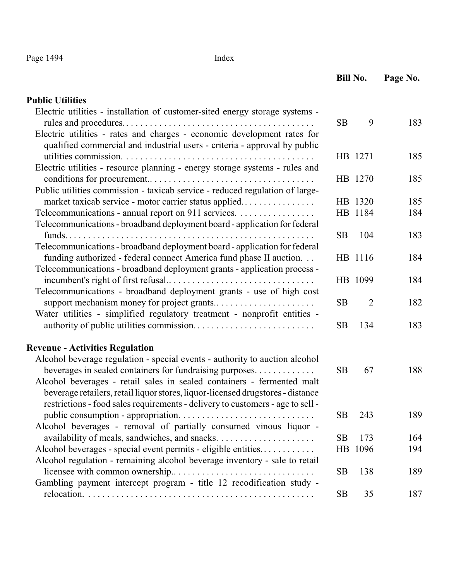# Page 1494 Index

|                                                                                                                                                           | <b>Bill No.</b> |                | Page No. |
|-----------------------------------------------------------------------------------------------------------------------------------------------------------|-----------------|----------------|----------|
| <b>Public Utilities</b>                                                                                                                                   |                 |                |          |
| Electric utilities - installation of customer-sited energy storage systems -                                                                              | <b>SB</b>       | 9              | 183      |
| Electric utilities - rates and charges - economic development rates for<br>qualified commercial and industrial users - criteria - approval by public      |                 |                | 185      |
| Electric utilities - resource planning - energy storage systems - rules and                                                                               |                 | HB 1271        |          |
| Public utilities commission - taxicab service - reduced regulation of large-                                                                              |                 | HB 1270        | 185      |
| market taxicab service - motor carrier status applied                                                                                                     |                 | HB 1320        | 185      |
| Telecommunications - annual report on 911 services.                                                                                                       |                 | HB 1184        | 184      |
| Telecommunications - broadband deployment board - application for federal                                                                                 |                 |                |          |
| $funds \ldots \ldots$                                                                                                                                     | <b>SB</b>       | 104            | 183      |
| Telecommunications - broadband deployment board - application for federal                                                                                 |                 |                |          |
| funding authorized - federal connect America fund phase II auction.                                                                                       |                 | HB 1116        | 184      |
| Telecommunications - broadband deployment grants - application process -                                                                                  |                 | HB 1099        | 184      |
| Telecommunications - broadband deployment grants - use of high cost                                                                                       |                 |                |          |
|                                                                                                                                                           | <b>SB</b>       | $\overline{2}$ | 182      |
| Water utilities - simplified regulatory treatment - nonprofit entities -                                                                                  |                 |                |          |
|                                                                                                                                                           | <b>SB</b>       | 134            | 183      |
| <b>Revenue - Activities Regulation</b>                                                                                                                    |                 |                |          |
| Alcohol beverage regulation - special events - authority to auction alcohol                                                                               |                 |                |          |
| beverages in sealed containers for fundraising purposes                                                                                                   | SB              | 67             | 188      |
| Alcohol beverages - retail sales in sealed containers - fermented malt<br>beverage retailers, retail liquor stores, liquor-licensed drugstores - distance |                 |                |          |
| restrictions - food sales requirements - delivery to customers - age to sell -                                                                            | SВ              | 243            | 189      |
| Alcohol beverages - removal of partially consumed vinous liquor -                                                                                         |                 |                |          |
|                                                                                                                                                           | <b>SB</b>       | 173            | 164      |
| Alcohol beverages - special event permits - eligible entities                                                                                             |                 | HB 1096        | 194      |
| Alcohol regulation - remaining alcohol beverage inventory - sale to retail                                                                                |                 |                |          |
|                                                                                                                                                           | SВ              | 138            | 189      |
| Gambling payment intercept program - title 12 recodification study -                                                                                      |                 |                |          |
|                                                                                                                                                           | SВ              | 35             | 187      |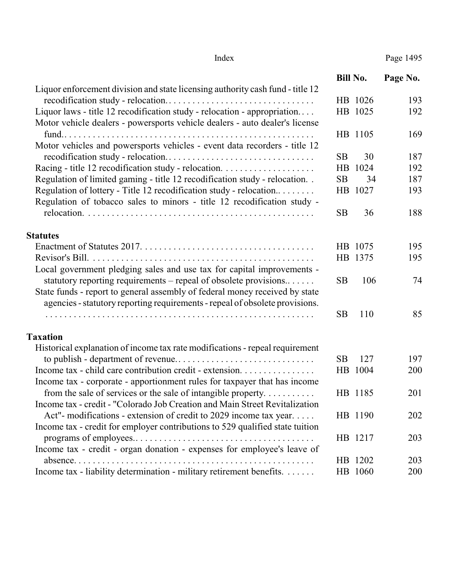|                                                                                                                                                                                                                                 | <b>Bill No.</b> |         | Page No. |
|---------------------------------------------------------------------------------------------------------------------------------------------------------------------------------------------------------------------------------|-----------------|---------|----------|
| Liquor enforcement division and state licensing authority cash fund - title 12                                                                                                                                                  |                 |         |          |
|                                                                                                                                                                                                                                 |                 | HB 1026 | 193      |
| Liquor laws - title 12 recodification study - relocation - appropriation<br>Motor vehicle dealers - powersports vehicle dealers - auto dealer's license                                                                         |                 | HB 1025 | 192      |
| Motor vehicles and powersports vehicles - event data recorders - title 12                                                                                                                                                       |                 | HB 1105 | 169      |
|                                                                                                                                                                                                                                 | <b>SB</b>       | 30      | 187      |
|                                                                                                                                                                                                                                 | HB              | 1024    | 192      |
| Regulation of limited gaming - title 12 recodification study - relocation                                                                                                                                                       | SB              | 34      | 187      |
| Regulation of lottery - Title 12 recodification study - relocation<br>Regulation of tobacco sales to minors - title 12 recodification study -                                                                                   |                 | HB 1027 | 193      |
|                                                                                                                                                                                                                                 | <b>SB</b>       | 36      | 188      |
| <b>Statutes</b>                                                                                                                                                                                                                 |                 |         |          |
|                                                                                                                                                                                                                                 |                 | HB 1075 | 195      |
| Local government pledging sales and use tax for capital improvements -                                                                                                                                                          |                 | HB 1375 | 195      |
| statutory reporting requirements – repeal of obsolete provisions<br>State funds - report to general assembly of federal money received by state<br>agencies - statutory reporting requirements - repeal of obsolete provisions. | <b>SB</b>       | 106     | 74       |
|                                                                                                                                                                                                                                 | <b>SB</b>       | 110     | 85       |
| <b>Taxation</b>                                                                                                                                                                                                                 |                 |         |          |
| Historical explanation of income tax rate modifications - repeal requirement                                                                                                                                                    |                 |         |          |
|                                                                                                                                                                                                                                 | <b>SB</b>       | 127     | 197      |
| Income tax - child care contribution credit - extension.<br>Income tax - corporate - apportionment rules for taxpayer that has income                                                                                           |                 | HB 1004 | 200      |
| from the sale of services or the sale of intangible property<br>Income tax - credit - "Colorado Job Creation and Main Street Revitalization                                                                                     |                 | HB 1185 | 201      |
| Act"- modifications - extension of credit to 2029 income tax year                                                                                                                                                               |                 | HB 1190 | 202      |
| Income tax - credit for employer contributions to 529 qualified state tuition                                                                                                                                                   |                 |         |          |
|                                                                                                                                                                                                                                 |                 | HB 1217 | 203      |
| Income tax - credit - organ donation - expenses for employee's leave of                                                                                                                                                         |                 |         |          |
| absence                                                                                                                                                                                                                         |                 | HB 1202 | 203      |
| Income tax - liability determination - military retirement benefits.                                                                                                                                                            |                 | HB 1060 | 200      |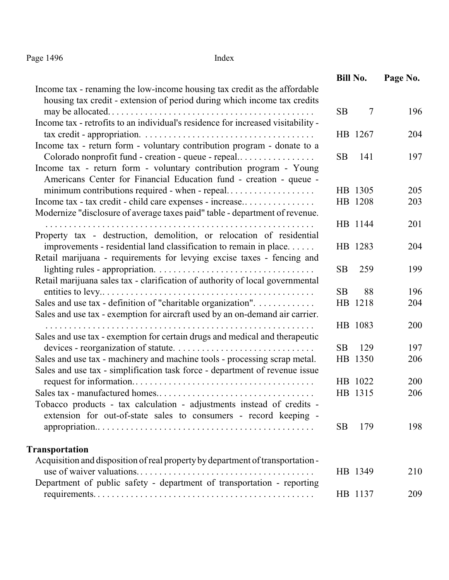Page 1496 **Index** 

|                                                                                                                                                                                                | <b>Bill No.</b> |         | Page No. |
|------------------------------------------------------------------------------------------------------------------------------------------------------------------------------------------------|-----------------|---------|----------|
| Income tax - renaming the low-income housing tax credit as the affordable<br>housing tax credit - extension of period during which income tax credits                                          | <b>SB</b>       | $\tau$  | 196      |
| Income tax - retrofits to an individual's residence for increased visitability -                                                                                                               |                 |         |          |
|                                                                                                                                                                                                |                 | HB 1267 | 204      |
| Income tax - return form - voluntary contribution program - donate to a                                                                                                                        |                 |         |          |
| Colorado nonprofit fund - creation - queue - repeal<br>Income tax - return form - voluntary contribution program - Young<br>Americans Center for Financial Education fund - creation - queue - | SB              | 141     | 197      |
|                                                                                                                                                                                                |                 | HB 1305 | 205      |
| Income tax - tax credit - child care expenses - increase<br>Modernize "disclosure of average taxes paid" table - department of revenue.                                                        |                 | HB 1208 | 203      |
| Property tax - destruction, demolition, or relocation of residential                                                                                                                           |                 | HB 1144 | 201      |
| improvements - residential land classification to remain in place<br>Retail marijuana - requirements for levying excise taxes - fencing and                                                    |                 | HB 1283 | 204      |
| Retail marijuana sales tax - clarification of authority of local governmental                                                                                                                  | SB.             | 259     | 199      |
|                                                                                                                                                                                                | SB.             | 88      | 196      |
| Sales and use tax - definition of "charitable organization".<br>Sales and use tax - exemption for aircraft used by an on-demand air carrier.                                                   |                 | HB 1218 | 204      |
| Sales and use tax - exemption for certain drugs and medical and therapeutic                                                                                                                    |                 | HB 1083 | 200      |
|                                                                                                                                                                                                | <b>SB</b>       | 129     | 197      |
| Sales and use tax - machinery and machine tools - processing scrap metal.<br>Sales and use tax - simplification task force - department of revenue issue                                       |                 | HB 1350 | 206      |
|                                                                                                                                                                                                |                 | HB 1022 | 200      |
| Tobacco products - tax calculation - adjustments instead of credits -<br>extension for out-of-state sales to consumers - record keeping -                                                      |                 | HB 1315 | 206      |
|                                                                                                                                                                                                | SB <sub>1</sub> | 179     | 198      |
| Transportation                                                                                                                                                                                 |                 |         |          |
| Acquisition and disposition of real property by department of transportation -                                                                                                                 |                 | HB 1349 | 210      |
| Department of public safety - department of transportation - reporting                                                                                                                         |                 | HB 1137 | 209      |